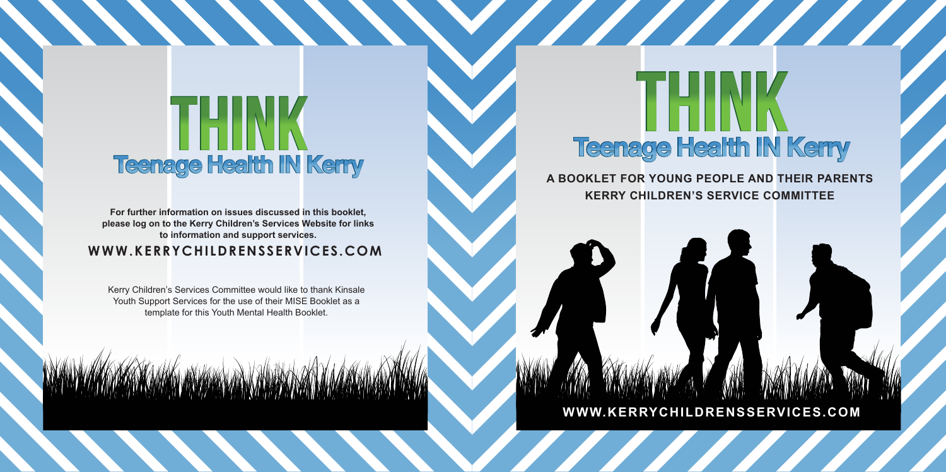## HEINK **Teenage Health IN Kerry**

WWW.KERRYCHILDRENSSERVICES.COM **For further information on issues discussed in this booklet, please log on to the Kerry Children's Services Website for links to information and support services.**

Kerry Children's Services Committee would like to thank Kinsale Youth Support Services for the use of their MISE Booklet as a template for this Youth Mental Health Booklet.

**MARAMANAN MARA** 

# **Teenage Health IN Kerry**

1111111

**A BOOKLET FOR YOUNG PEOPLE AND THEIR PARENTS KERRY CHILDREN'S SERVICE COMMITTEE**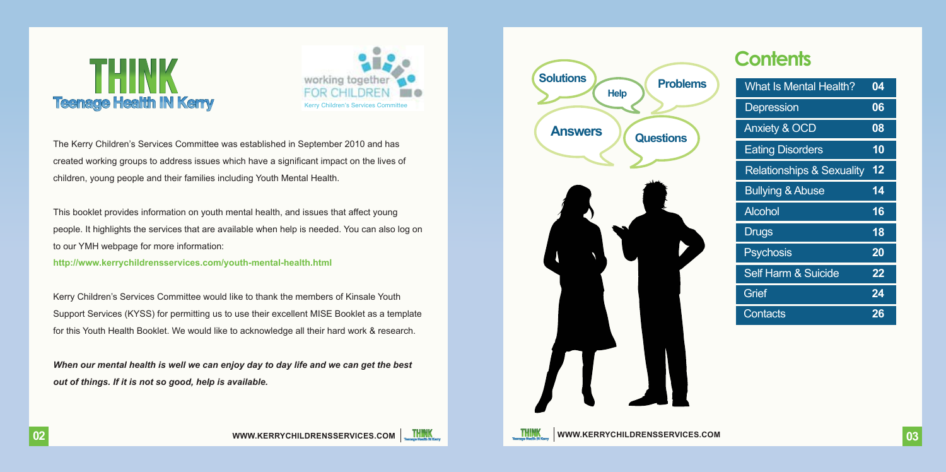### THINK **Teenage Health IN Kerry**



The Kerry Children's Services Committee was established in September 2010 and has created working groups to address issues which have a significant impact on the lives of children, young people and their families including Youth Mental Health.

This booklet provides information on youth mental health, and issues that affect young people. It highlights the services that are available when help is needed. You can also log on to our YMH webpage for more information:

**http://www.kerrychildrensservices.com/youth-mental-health.html**

Kerry Children's Services Committee would like to thank the members of Kinsale Youth Support Services (KYSS) for permitting us to use their excellent MISE Booklet as a template for this Youth Health Booklet. We would like to acknowledge all their hard work & research.

*When our mental health is well we can enjoy day to day life and we can get the best out of things. If it is not so good, help is available.*



### **Contents**

| What Is Mental Health?               | 04 |
|--------------------------------------|----|
| Depression                           | 06 |
| <b>Anxiety &amp; OCD</b>             | 08 |
| <b>Eating Disorders</b>              | 10 |
| <b>Relationships &amp; Sexuality</b> | 12 |
| <b>Bullying &amp; Abuse</b>          | 14 |
| Alcohol                              | 16 |
| Drugs                                | 18 |
| <b>Psychosis</b>                     | 20 |
| Self Harm & Suicide                  | 22 |
| Grief                                | 24 |
| Contacts                             | 26 |



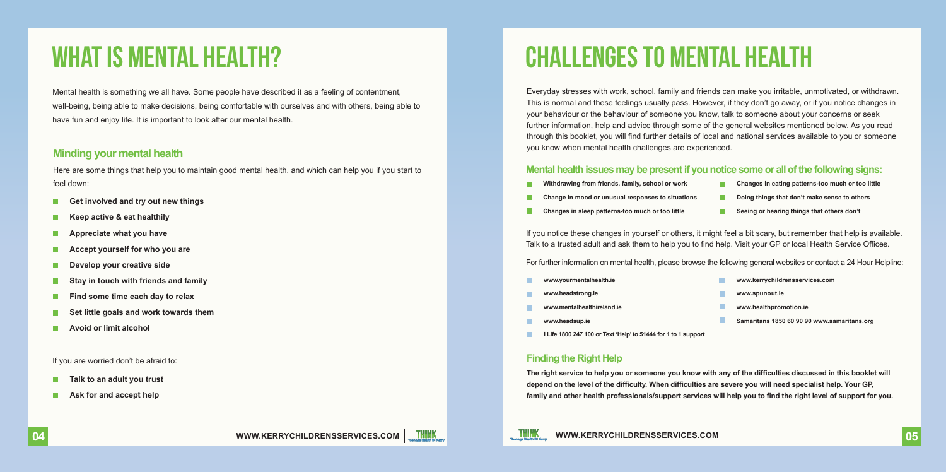### WHAT IS MENTAL HEALTH?

Mental health is something we all have. Some people have described it as a feeling of contentment, well-being, being able to make decisions, being comfortable with ourselves and with others, being able to have fun and enjoy life. It is important to look after our mental health.

#### **Minding your mental health**

Here are some things that help you to maintain good mental health, and which can help you if you start to feel down:

- **Get involved and try out new things**
- **Keep active & eat healthily**
- **Appreciate what you have**
- **Accept yourself for who you are**
- **Develop your creative side**
- **Stay in touch with friends and family**
- **Find some time each day to relax**
- **Set little goals and work towards them**
- **Avoid or limit alcohol**

If you are worried don't be afraid to:

- **Talk to an adult you trust**
- **Ask for and accept help**

### CHALLENGES TO Mental Health

Everyday stresses with work, school, family and friends can make you irritable, unmotivated, or withdrawn. This is normal and these feelings usually pass. However, if they don't go away, or if you notice changes in your behaviour or the behaviour of someone you know, talk to someone about your concerns or seek further information, help and advice through some of the general websites mentioned below. As you read through this booklet, you will find further details of local and national services available to you or someone you know when mental health challenges are experienced.

#### **Mental health issues may be present if you notice some or all ofthe following signs:**

- **Withdrawing from friends, family, school or work Change in mood or unusual responses to situations Doing things that don't make sense to others**
	- **Changes in eating patterns-too much or too little**
- **Changes in sleep patterns-too much or too little**
	- **Seeing or hearing things that others don't**

If you notice these changes in yourself or others, it might feel a bit scary, but remember that help is available. Talk to a trusted adult and ask them to help you to find help. Visit your GP or local Health Service Offices.

For further information on mental health, please browse the following general websites or contact a 24 Hour Helpline:

**www.yourmentalhealth.ie**

**www.mentalhealthireland.ie www.headsup.ie**

**www.headstrong.ie**

- **www.kerrychildrensservices.com**
- **www.spunout.ie**
- **www.healthpromotion.ie**
- **Samaritans 1850 60 90 90 www.samaritans.org**
- **I Life 1800 247 100 or Text 'Help'to 51444 for 1 to 1 support**

#### **Finding the Right Help**

**The right service to help you or someone you know with any of the difficulties discussed in this booklet will depend on the level of the difficulty. When difficulties are severe you will need specialist help. Your GP, family and other health professionals/support services will help you to find the right level of support for you.**

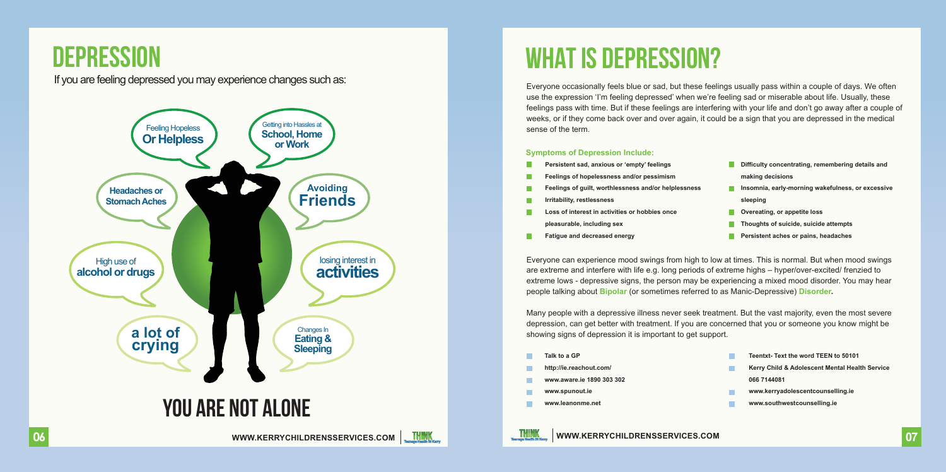### **DEPRESSION**

### If you are feeling depressed you may experience changes such as:



### WHAT IS DEPRESSION?

Everyone occasionally feels blue or sad, but these feelings usually pass within a couple of days. We often use the expression 'I'm feeling depressed' when we're feeling sad or miserable about life. Usually, these feelings pass with time. But if these feelings are interfering with your life and don't go away after a couple of weeks, or if they come back over and over again, it could be a sign that you are depressed in the medical sense of the term.

#### **Symptoms of Depression Include:**

- **Persistent sad, anxious or 'empty' feelings**
- **Feelings of hopelessness and/or pessimism**
- **Feelings of guilt, worthlessness and/or helplessness**
- **Irritability, restlessness**
- **Loss of interest in activities or hobbies once pleasurable, including sex**
- m, **Fatigue and decreased energy**
- **Difficulty concentrating, remembering details and making decisions**
- **Insomnia, early-morning wakefulness, or excessive sleeping**
- **COVERGITE:** Overeating, or appetite loss
- **Thoughts of suicide, suicide attempts**
- **Persistent aches or pains, headaches**

Everyone can experience mood swings from high to low at times. This is normal. But when mood swings are extreme and interfere with life e.g. long periods of extreme highs – hyper/over-excited/ frenzied to extreme lows - depressive signs, the person may be experiencing a mixed mood disorder. You may hear people talking about **Bipolar** (or sometimes referred to as Manic-Depressive) **Disorder.** 

Many people with a depressive illness never seek treatment. But the vast majority, even the most severe depression, can get better with treatment. If you are concerned that you or someone you know might be showing signs of depression it is important to get support.

**Talk to a GP http://ie.reachout.com/ www.aware.ie 1890 303 302 www.spunout.ie www.leanonme.net**

- **Teentxt- Text the word TEEN to 50101**
- **Kerry Child & Adolescent Mental Health Service 066 7144081**
- **www.kerryadolescentcounselling.ie**
- **www.southwestcounselling.ie**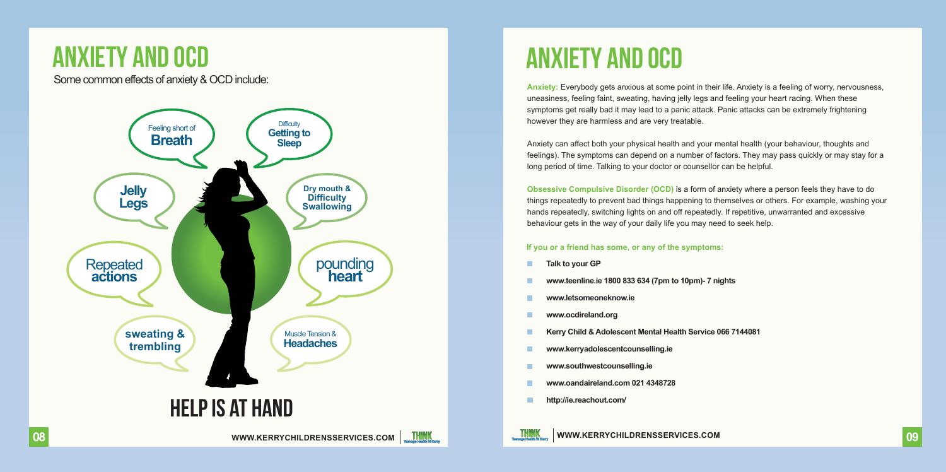### ANXIETY AND OCD

Some common effects of anxiety & OCD include:



### ANXIETY AND OCD

**Anxiety:** Everybody gets anxious at some point in their life. Anxiety is a feeling of worry, nervousness, uneasiness, feeling faint, sweating, having jelly legs and feeling your heart racing. When these symptoms get really bad it may lead to a panic attack. Panic attacks can be extremely frightening however they are harmless and are very treatable.

Anxiety can affect both your physical health and your mental health (your behaviour, thoughts and feelings). The symptoms can depend on a number of factors. They may pass quickly or may stay for a long period of time. Talking to your doctor or counsellor can be helpful.

**Obsessive Compulsive Disorder (OCD)** is a form of anxiety where a person feels they have to do things repeatedly to prevent bad things happening to themselves or others. For example, washing your hands repeatedly, switching lights on and off repeatedly. If repetitive, unwarranted and excessive behaviour gets in the way of your daily life you may need to seek help.

#### **If you or a friend has some, or any of the symptoms:**

- **Talk to your GP**
- **www.teenline.ie 1800 833 634 (7pm to 10pm)- 7 nights**
- **www.letsomeoneknow.ie**
- **www.ocdireland.org**
- **Kerry Child & Adolescent Mental Health Service 066 7144081**

**WWW.KERRYCHILDRENSSERVICES.COM**

- **www.kerryadolescentcounselling.ie**
- **www.southwestcounselling.ie**
- **www.oandaireland.com 021 4348728**
- **http://ie.reachout.com/**

**09**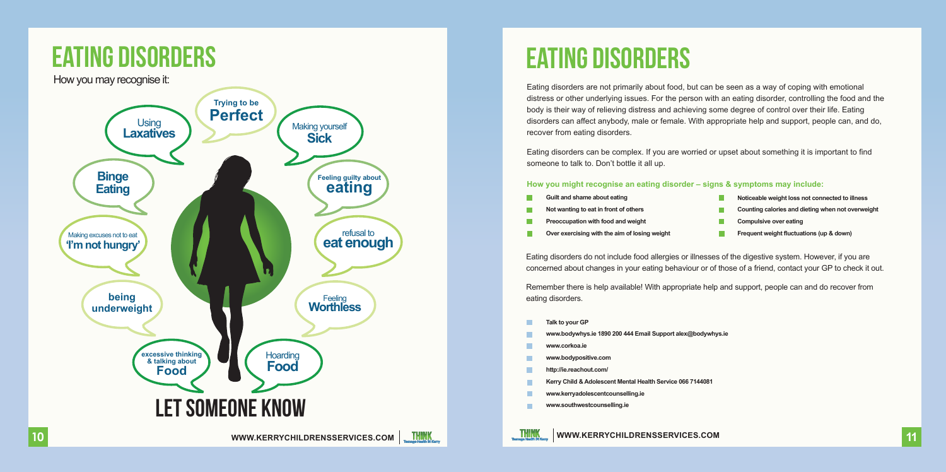

### EATING DISORDERS

Eating disorders are not primarily about food, but can be seen as a way of coping with emotional distress or other underlying issues. For the person with an eating disorder, controlling the food and the body is their way of relieving distress and achieving some degree of control over their life. Eating disorders can affect anybody, male or female. With appropriate help and support, people can, and do, recover from eating disorders.

Eating disorders can be complex. If you are worried or upset about something it is important to find someone to talk to. Don't bottle it all up.

#### **How you might recognise an eating disorder – signs & symptoms may include:**

- **Guilt and shame about eating**
- **Not wanting to eat in front of others**
- **Preoccupation with food and weight**
- **Over exercising with the aim of losing weight**
- **Noticeable weight loss not connected to illness**
- **Counting calories and dieting when not overweight**
- **Compulsive over eating**
- г **Frequent weight fluctuations (up & down)**

Eating disorders do not include food allergies or illnesses of the digestive system. However, if you are concerned about changes in your eating behaviour or of those of a friend, contact your GP to check it out.

Remember there is help available! With appropriate help and support, people can and do recover from eating disorders.

- **Talk to your GP**
- **www.bodywhys.ie 1890 200 444 Email Support alex@bodywhys.ie**
- **www.corkoa.ie**

THINK<br>Thomas Hostin N.Keny

- **www.bodypositive.com**
- **http://ie.reachout.com/**
- **Kerry Child & Adolescent Mental Health Service 066 7144081**

- **www.kerryadolescentcounselling.ie**
- **www.southwestcounselling.ie**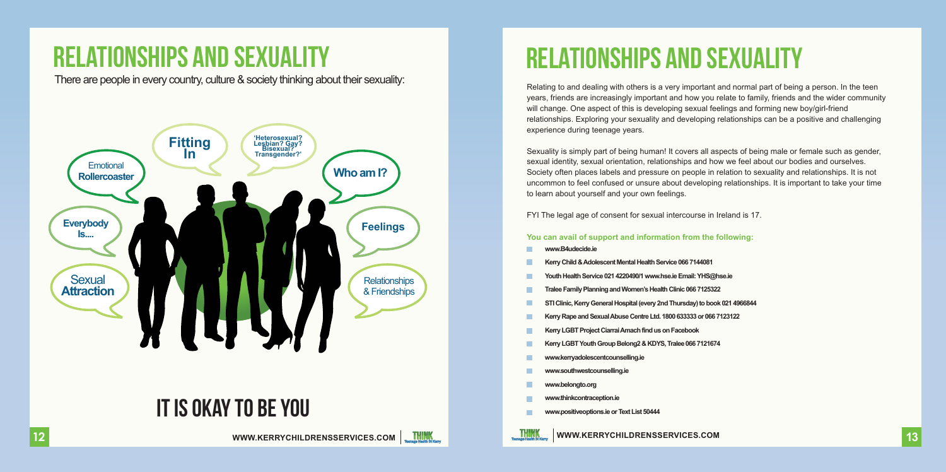### RELATIONSHIPS AND SEXUALITY

There are people in every country, culture & society thinking about their sexuality:



### IT IS OKAY TO BE YOU

#### **WWW.KERRYCHILDRENSSERVICES.COM**



### relationships and sexuality

Relating to and dealing with others is a very important and normal part of being a person. In the teen years, friends are increasingly important and how you relate to family, friends and the wider community will change. One aspect of this is developing sexual feelings and forming new boy/girl-friend relationships. Exploring your sexuality and developing relationships can be a positive and challenging experience during teenage years.

Sexuality is simply part of being human! It covers all aspects of being male or female such as gender, sexual identity, sexual orientation, relationships and how we feel about our bodies and ourselves. Society often places labels and pressure on people in relation to sexuality and relationships. It is not uncommon to feel confused or unsure about developing relationships. It is important to take your time to learn about yourself and your own feelings.

FYI The legal age of consent for sexual intercourse in Ireland is 17.

#### **You can avail of support and information from the following:**

- **www.B4udecide.ie**
- **KerryChild &Adolescent Mental Health Service066 7144081**
- **Youth Health Service0214220490/1 www.hse.ie Email:YHS@hse.ie**
- **Tralee Family Planning and Women'sHealth Clinic066 7125322**
- **STI Clinic, Kerry General Hospital (every 2nd Thursday)to book021 4966844**
- **KerryRape and SexualAbuseCentre Ltd. 1800633333 or 0667123122**
- **Kerry LGBT ProjectCiarraiAmach find us on Facebook**
- **Kerry LGBTYouth Group Belong2&KDYS, Tralee066 7121674**
- **www.kerryadolescentcounselling.ie**
- **www.southwestcounselling.ie**
- **www.belongto.org**
- **www.thinkcontraception.ie**
- **www.positiveoptions.ie orText List 50444**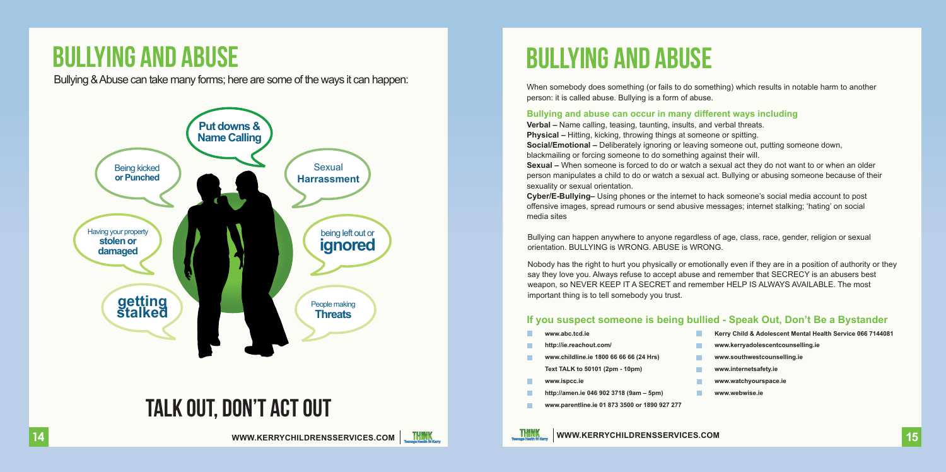### BULLYING AND ABUSE

Bullying &Abuse can take many forms; here are some of the ways it can happen:



### TALK OUT, DON'T ACT OUT

#### **WWW.KERRYCHILDRENSSERVICES.COM**



When somebody does something (or fails to do something) which results in notable harm to another person: it is called abuse. Bullying is a form of abuse.

#### **Bullying and abuse can occur in many different ways including**

**Verbal –** Name calling, teasing, taunting, insults, and verbal threats. **Physical –** Hitting, kicking, throwing things at someone or spitting. **Social/Emotional –** Deliberately ignoring or leaving someone out, putting someone down, blackmailing or forcing someone to do something against their will. **Sexual –** When someone is forced to do or watch a sexual act they do not want to or when an older person manipulates a child to do or watch a sexual act. Bullying or abusing someone because of their sexuality or sexual orientation.

**Cyber/E-Bullying–** Using phones or the internet to hack someone's social media account to post offensive images, spread rumours or send abusive messages; internet stalking; 'hating' on social media sites

Bullying can happen anywhere to anyone regardless of age, class, race, gender, religion or sexual orientation. BULLYING is WRONG. ABUSE is WRONG.

Nobody has the right to hurt you physically or emotionally even if they are in a position of authority or they say they love you. Always refuse to accept abuse and remember that SECRECY is an abusers best weapon, so NEVER KEEP IT A SECRET and remember HELP IS ALWAYS AVAILABLE. The most important thing is to tell somebody you trust.

#### **If you suspect someone is being bullied - Speak Out, Don't Be a Bystander**

- **www.abc.tcd.ie**
- **http://ie.reachout.com/**
- **www.childline.ie 1800 66 66 66 (24 Hrs) Text TALK to 50101 (2pm - 10pm)**
- **www.ispcc.ie**
- **http://amen.ie 046 902 3718 (9am 5pm)**
- **www.parentline.ie 01 873 3500 or 1890 927 277**
- **Kerry Child & Adolescent Mental Health Service 066 7144081**
- **www.kerryadolescentcounselling.ie**
- **www.southwestcounselling.ie**
- **www.internetsafety.ie**
- **www.watchyourspace.ie**
- **www.webwise.ie**

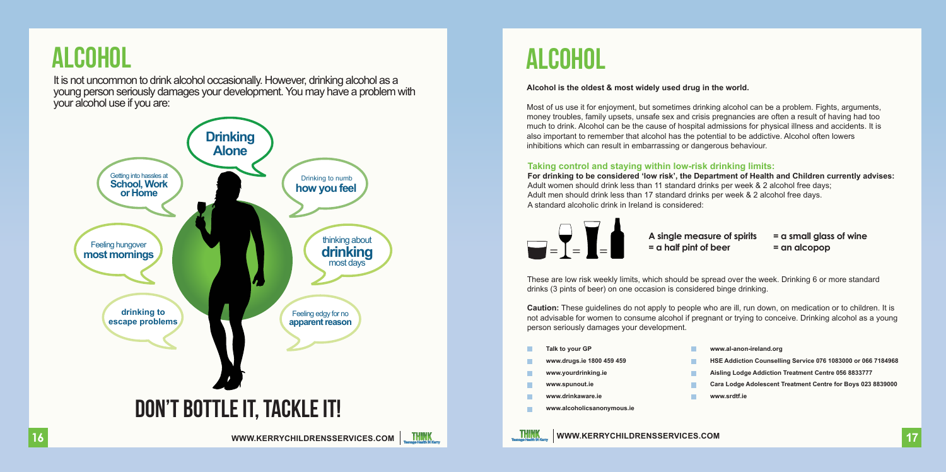### alcohol

It is not uncommon to drink alcohol occasionally. However, drinking alcohol as a young person seriously damages your development.You may have a problem with your alcohol use if you are:



### ALCOHOL

#### **Alcohol is the oldest & most widely used drug in the world.**

Most of us use it for enjoyment, but sometimes drinking alcohol can be a problem. Fights, arguments, money troubles, family upsets, unsafe sex and crisis pregnancies are often a result of having had too much to drink. Alcohol can be the cause of hospital admissions for physical illness and accidents. It is also important to remember that alcohol has the potential to be addictive. Alcohol often lowers inhibitions which can result in embarrassing or dangerous behaviour.

#### **Taking control and staying within low-risk drinking limits:**

**For drinking to be considered 'low risk', the Department of Health and Children currently advises:**  Adult women should drink less than 11 standard drinks per week & 2 alcohol free days; Adult men should drink less than 17 standard drinks per week & 2 alcohol free days. A standard alcoholic drink in Ireland is considered:



**A single measure of spirits = a small glass of wine = a half pint of beer = an alcopop**

These are low risk weekly limits, which should be spread over the week. Drinking 6 or more standard drinks (3 pints of beer) on one occasion is considered binge drinking.

**Caution:** These guidelines do not apply to people who are ill, run down, on medication or to children. It is not advisable for women to consume alcohol if pregnant or trying to conceive. Drinking alcohol as a young person seriously damages your development.

- **Talk to your GP**
- **www.drugs.ie 1800 459 459**
- **www.yourdrinking.ie**
- **www.spunout.ie**
- **www.drinkaware.ie**
- **www.alcoholicsanonymous.ie**
- **www.al-anon-ireland.org**
- **HSE Addiction Counselling Service 076 1083000 or 066 7184968**
- **Aisling Lodge Addiction Treatment Centre 056 8833777**
- **Cara Lodge Adolescent Treatment Centre for Boys 023 8839000**
- **www.srdtf.ie**

**16**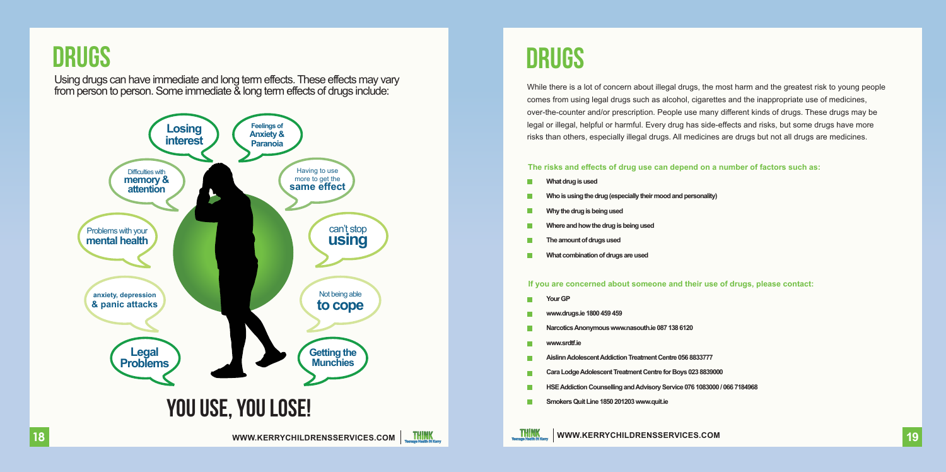

Using drugs can have immediate and long term effects.These effects may vary from person to person. Some immediate & long term effects of drugs include:



### DRUGS

While there is a lot of concern about illegal drugs, the most harm and the greatest risk to young people comes from using legal drugs such as alcohol, cigarettes and the inappropriate use of medicines, over-the-counter and/or prescription. People use many different kinds of drugs. These drugs may be legal or illegal, helpful or harmful. Every drug has side-effects and risks, but some drugs have more risks than others, especially illegal drugs. All medicines are drugs but not all drugs are medicines.

#### **The risks and effects of drug use can depend on a number of factors such as:**

- **What drug is used**
- Who is using the drug (especially their mood and personality)
- **Whythe drug is being used**
- **Where and how the drug is being used**
- **The amount of drugs used**
- **What combination of drugs are used**

#### **If you are concerned about someone and their use of drugs, please contact:**

- **Your GP**
- **www.drugs.ie1800 459 459**
- **NarcoticsAnonymous www.nasouth.ie087138 6120**
- **www.srdtf.ie**
- **AislinnAdolescentAddiction TreatmentCentre 056 8833777**
- Cara Lodge Adolescent Treatment Centre for Boys 023 8839000
- **HSEAddiction Counselling andAdvisory Service076 1083000 / 066 7184968**

**WWW.KERRYCHILDRENSSERVICES.COM 19**

**Smokers Quit Line1850 201203 www.quit.ie**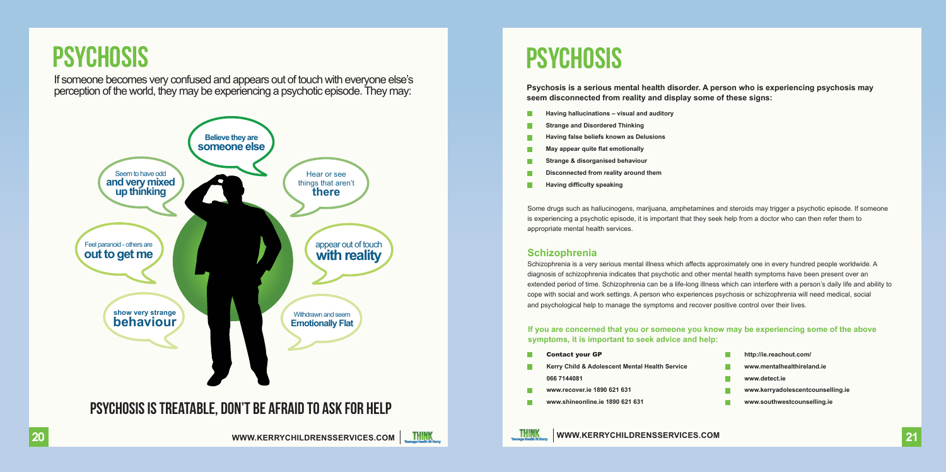### **PSYCHOSIS**

If someone becomes very confused and appears out of touch with everyone else's perception of the world, they may be experiencing a psychotic episode. They may:



### **PSYCHOSIS**

**Psychosis is a serious mental health disorder. A person who is experiencing psychosis may seem disconnected from reality and display some of these signs:**

- **Having hallucinations visual and auditory**
- **Strange and Disordered Thinking**
- **Having false beliefs known as Delusions**
- **May appear quite flat emotionally**
- **Strange & disorganised behaviour**
- **Disconnected from reality around them**
- **Having difficulty speaking**

Some drugs such as hallucinogens, marijuana, amphetamines and steroids may trigger a psychotic episode. If someone is experiencing a psychotic episode, it is important that they seek help from a doctor who can then refer them to appropriate mental health services.

#### **Schizophrenia**

Schizophrenia is a very serious mental illness which affects approximately one in every hundred people worldwide. A diagnosis of schizophrenia indicates that psychotic and other mental health symptoms have been present over an extended period of time. Schizophrenia can be a life-long illness which can interfere with a person's daily life and ability to cope with social and work settings. A person who experiences psychosis or schizophrenia will need medical, social and psychological help to manage the symptoms and recover positive control over their lives.

**If you are concerned that you or someone you know may be experiencing some of the above symptoms, it is important to seek advice and help:**

п

Contact your GP

**THINK** 

**Kerry Child & Adolescent Mental Health Service 066 7144081**

- **www.recover.ie 1890 621 631**
- **www.shineonline.ie 1890 621 631**
- г **http://ie.reachout.com/**
- **www.mentalhealthireland.ie**
- **www.detect.ie**
- **www.kerryadolescentcounselling.ie**
- п **www.southwestcounselling.ie**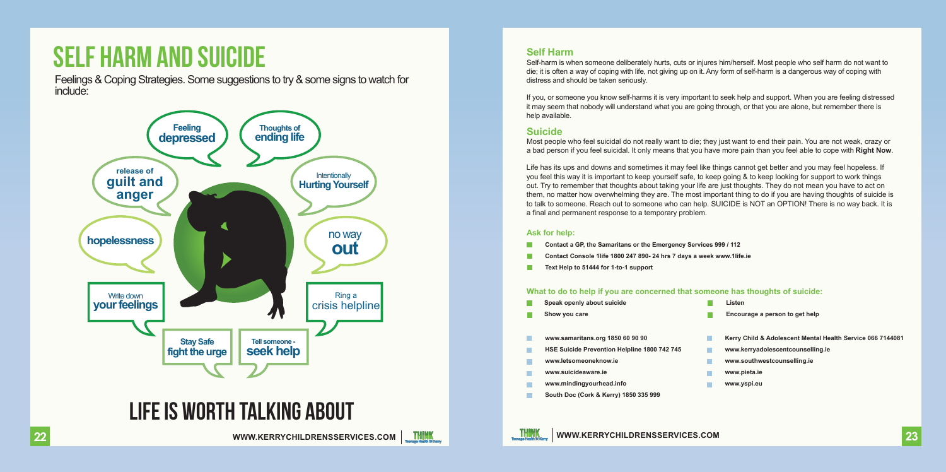### SELF HARM AND SUICIDE

Feelings & Coping Strategies. Some suggestions to try & some signs to watch for include:



### LIFE IS WORTH TALKING ABOUT



Self-harm is when someone deliberately hurts, cuts or injures him/herself. Most people who self harm do not want to die; it is often a way of coping with life, not giving up on it. Any form of self-harm is a dangerous way of coping with distress and should be taken seriously.

If you, or someone you know self-harms it is very important to seek help and support. When you are feeling distressed it may seem that nobody will understand what you are going through, or that you are alone, but remember there is help available.

### **Suicide**

Most people who feel suicidal do not really want to die; they just want to end their pain. You are not weak, crazy or a bad person if you feel suicidal. It only means that you have more pain than you feel able to cope with **Right Now**.

Life has its ups and downs and sometimes it may feel like things cannot get better and you may feel hopeless. If you feel this way it is important to keep yourself safe, to keep going & to keep looking for support to work things out. Try to remember that thoughts about taking your life are just thoughts. They do not mean you have to act on them, no matter how overwhelming they are. The most important thing to do if you are having thoughts of suicide is to talk to someone. Reach out to someone who can help. SUICIDE is NOT an OPTION! There is no way back. It is a final and permanent response to a temporary problem.

#### **Ask for help:**

- **Contact a GP, the Samaritans or the Emergency Services 999 / 112**
- **Contact Console 1life 1800 247 890- 24 hrs 7 days a week www.1life.ie**
- **Text Help to 51444 for 1-to-1 support**

#### **What to do to help if you are concerned that someone has thoughts of suicide:**

**Speak openly about suicide**

**Listen**

**Show you care**

**Encourage a person to get help**

- **www.samaritans.org 1850 60 90 90**
- **HSE Suicide Prevention Helpline 1800 742 745**
- **www.letsomeoneknow.ie**
- **www.suicideaware.ie**
- **www.mindingyourhead.info**
- **South Doc (Cork & Kerry) 1850 335 999**
- **Kerry Child & Adolescent Mental Health Service 066 7144081**
- **www.kerryadolescentcounselling.ie**
- **www.southwestcounselling.ie**
- **www.pieta.ie**
- **www.yspi.eu**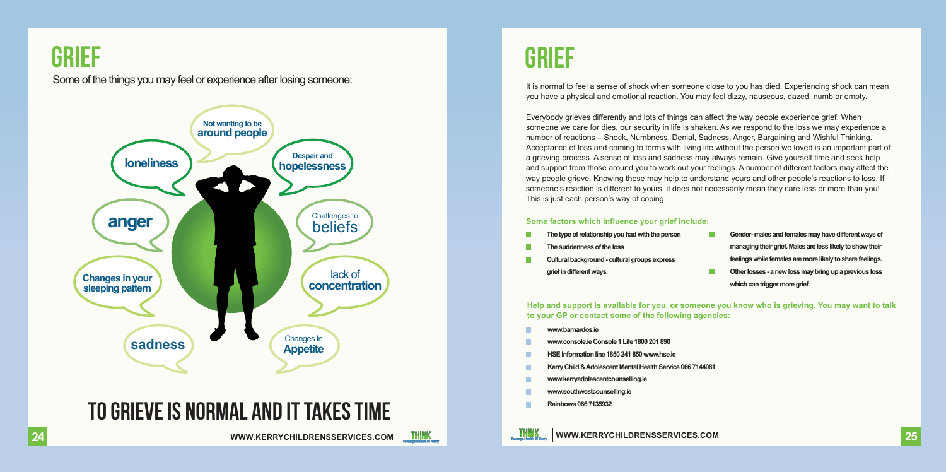

### Some of the things you may feel or experience after losing someone:



### To grieve is Normal and it takes time



It is normal to feel a sense of shock when someone close to you has died. Experiencing shock can mean you have a physical and emotional reaction. You may feel dizzy, nauseous, dazed, numb or empty.

Everybody grieves differently and lots of things can affect the way people experience grief. When someone we care for dies, our security in life is shaken. As we respond to the loss we may experience a number of reactions – Shock, Numbness, Denial, Sadness, Anger, Bargaining and Wishful Thinking. Acceptance of loss and coming to terms with living life without the person we loved is an important part of a grieving process. A sense of loss and sadness may always remain. Give yourself time and seek help and support from those around you to work out your feelings. A number of different factors may affect the way people grieve. Knowing these may help to understand yours and other people's reactions to loss. If someone's reaction is different to yours, it does not necessarily mean they care less or more than you! This is just each person's way of coping.

#### **Some factors which influence your grief include:**

- The type of relationship you had with the person
- **The suddenness ofthe loss**
- **Cultural background -cultural groups express grief in different ways.**
- Gender-males and females may have different ways of **managing their grief. Males are less likelyto show their** feelings while females are more likely to share feelings. **Other losses - a new lossmay bring up a previous loss**
- **which can triggermore grief.**

**Help and support is available for you, or someone you know who is grieving. You may want to talk to your GP or contact some of the following agencies:**

- **www.barnardos.ie**
- **www.console.ieConsole1 Life1800 201890**
- **HSE Information line1850 241 850 www.hse.ie**
- **KerryChild &Adolescent Mental Health Service 0667144081**
- **www.kerryadolescentcounselling.ie**
- **www.southwestcounselling.ie**
- **Rainbows0667135932**

**24**